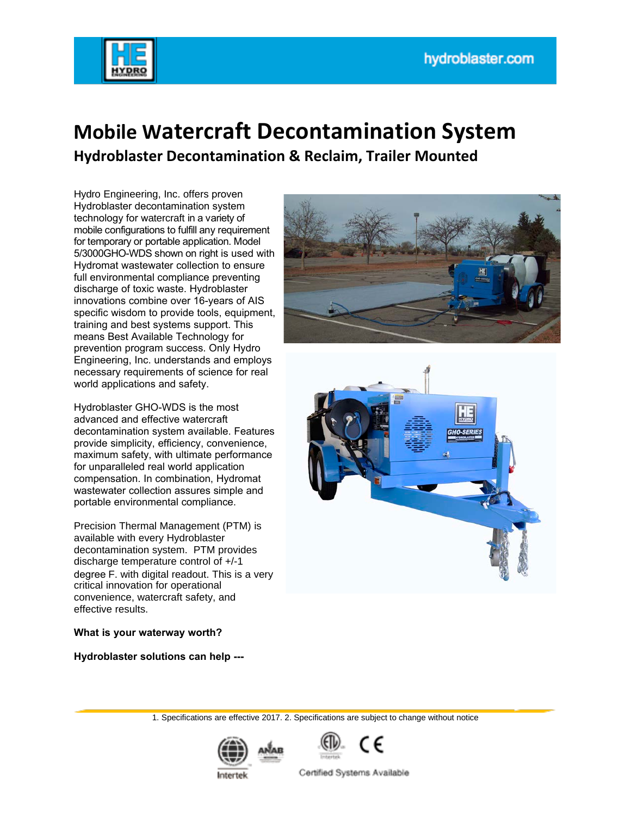

# **Mobile Watercraft Decontamination System**

**Hydroblaster Decontamination & Reclaim, Trailer Mounted** 

Hydro Engineering, Inc. offers proven Hydroblaster decontamination system technology for watercraft in a variety of mobile configurations to fulfill any requirement for temporary or portable application. Model 5/3000GHO-WDS shown on right is used with Hydromat wastewater collection to ensure full environmental compliance preventing discharge of toxic waste. Hydroblaster innovations combine over 16-years of AIS specific wisdom to provide tools, equipment, training and best systems support. This means Best Available Technology for prevention program success. Only Hydro Engineering, Inc. understands and employs necessary requirements of science for real world applications and safety.

Hydroblaster GHO-WDS is the most advanced and effective watercraft decontamination system available. Features provide simplicity, efficiency, convenience, maximum safety, with ultimate performance for unparalleled real world application compensation. In combination, Hydromat wastewater collection assures simple and portable environmental compliance.

Precision Thermal Management (PTM) is available with every Hydroblaster decontamination system. PTM provides discharge temperature control of +/-1 degree F. with digital readout. This is a very critical innovation for operational convenience, watercraft safety, and effective results.

#### **What is your waterway worth?**

**Hydroblaster solutions can help ---**





1. Specifications are effective 2017. 2. Specifications are subject to change without notice





Certified Systems Available